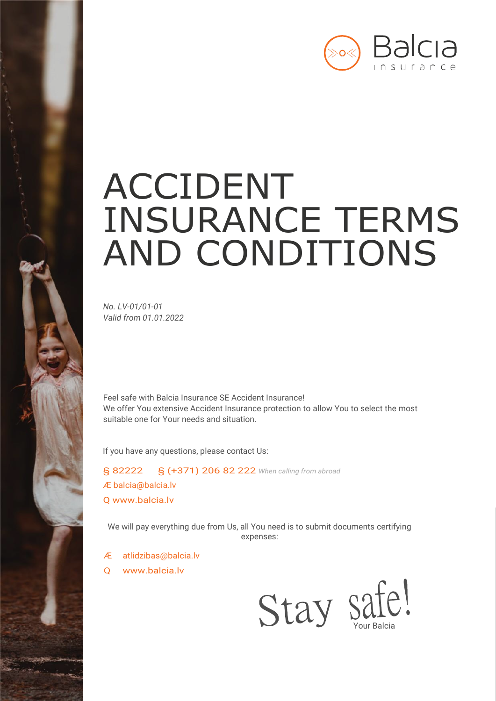

# ACCIDENT INSURANCE TERMS AND CONDITIONS

*No. LV-01/01-01 Valid from 01.01.2022*

Feel safe with Balcia Insurance SE Accident Insurance! We offer You extensive Accident Insurance protection to allow You to select the most suitable one for Your needs and situation.

If you have any questions, please contact Us:

§ 82222 § (+371) 206 82 222 *When calling from abroad* Æ [balcia@balcia.lv](mailto:balcia@balcia.lv) Q [www.balcia.lv](http://www.balcia.lv/)

We will pay everything due from Us, all You need is to submit documents certifying expenses:

- Æ [atlidzibas@balcia.lv](mailto:atlidzibas@balcia.lv)
- Q [www.balcia.lv](http://www.balcia.lv/)

Stay safe!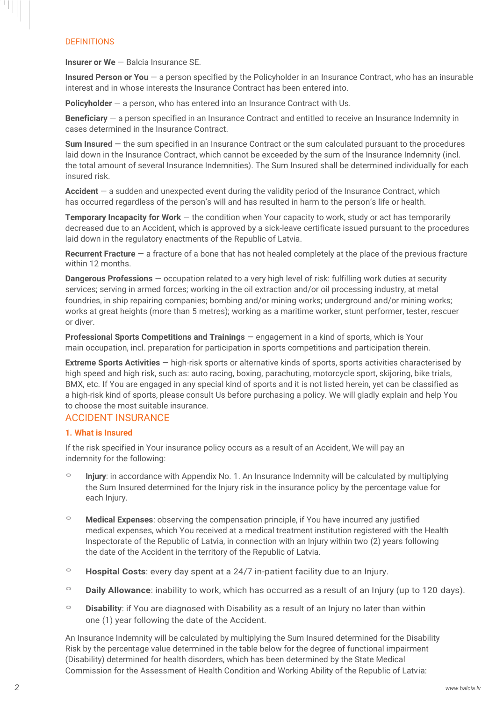# DEFINITIONS

Ш

**Insurer or We** — Balcia Insurance SE.

**Insured Person or You** — a person specified by the Policyholder in an Insurance Contract, who has an insurable interest and in whose interests the Insurance Contract has been entered into.

**Policyholder** — a person, who has entered into an Insurance Contract with Us.

**Beneficiary** — a person specified in an Insurance Contract and entitled to receive an Insurance Indemnity in cases determined in the Insurance Contract.

**Sum Insured** — the sum specified in an Insurance Contract or the sum calculated pursuant to the procedures laid down in the Insurance Contract, which cannot be exceeded by the sum of the Insurance Indemnity (incl. the total amount of several Insurance Indemnities). The Sum Insured shall be determined individually for each insured risk.

**Accident** — a sudden and unexpected event during the validity period of the Insurance Contract, which has occurred regardless of the person's will and has resulted in harm to the person's life or health.

**Temporary Incapacity for Work** — the condition when Your capacity to work, study or act has temporarily decreased due to an Accident, which is approved by a sick-leave certificate issued pursuant to the procedures laid down in the regulatory enactments of the Republic of Latvia.

**Recurrent Fracture** — a fracture of a bone that has not healed completely at the place of the previous fracture within 12 months.

**Dangerous Professions** — occupation related to a very high level of risk: fulfilling work duties at security services; serving in armed forces; working in the oil extraction and/or oil processing industry, at metal foundries, in ship repairing companies; bombing and/or mining works; underground and/or mining works; works at great heights (more than 5 metres); working as a maritime worker, stunt performer, tester, rescuer or diver.

**Professional Sports Competitions and Trainings** — engagement in a kind of sports, which is Your main occupation, incl. preparation for participation in sports competitions and participation therein.

**Extreme Sports Activities** — high-risk sports or alternative kinds of sports, sports activities characterised by high speed and high risk, such as: auto racing, boxing, parachuting, motorcycle sport, skijoring, bike trials, BMX, etc. If You are engaged in any special kind of sports and it is not listed herein, yet can be classified as a high-risk kind of sports, please consult Us before purchasing a policy. We will gladly explain and help You to choose the most suitable insurance.

## ACCIDENT INSURANCE

### **1. What is Insured**

If the risk specified in Your insurance policy occurs as a result of an Accident, We will pay an indemnity for the following:

- º **Injury**: in accordance with Appendix No. 1. An Insurance Indemnity will be calculated by multiplying the Sum Insured determined for the Injury risk in the insurance policy by the percentage value for each Injury.
- º **Medical Expenses**: observing the compensation principle, if You have incurred any justified medical expenses, which You received at a medical treatment institution registered with the Health Inspectorate of the Republic of Latvia, in connection with an Injury within two (2) years following the date of the Accident in the territory of the Republic of Latvia.
- º **Hospital Costs**: every day spent at a 24/7 in-patient facility due to an Injury.
- º **Daily Allowance**: inability to work, which has occurred as a result of an Injury (up to 120 days).
- º **Disability**: if You are diagnosed with Disability as a result of an Injury no later than within one (1) year following the date of the Accident.

An Insurance Indemnity will be calculated by multiplying the Sum Insured determined for the Disability Risk by the percentage value determined in the table below for the degree of functional impairment (Disability) determined for health disorders, which has been determined by the State Medical Commission for the Assessment of Health Condition and Working Ability of the Republic of Latvia: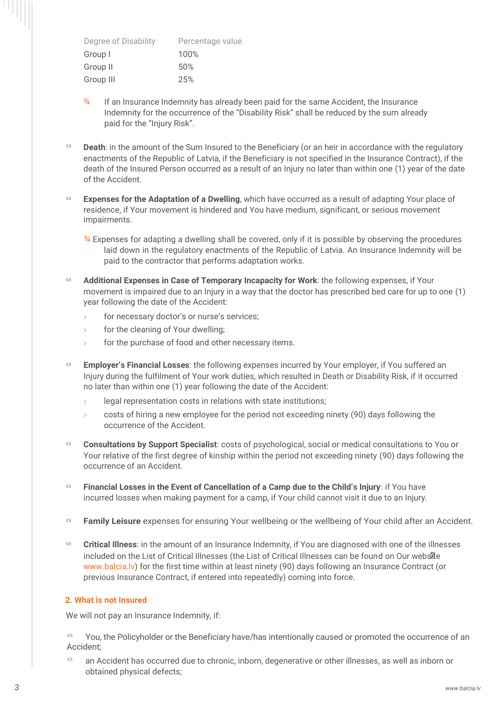| Degree of Disability | Percentage value |
|----------------------|------------------|
| Group I              | 100%             |
| Group II             | 50%              |
| Group III            | 25%              |

- $\frac{3}{4}$  If an Insurance Indemnity has already been paid for the same Accident, the Insurance Indemnity for the occurrence of the "Disability Risk" shall be reduced by the sum already paid for the "Injury Risk".
- º **Death**: in the amount of the Sum Insured to the Beneficiary (or an heir in accordance with the regulatory enactments of the Republic of Latvia, if the Beneficiary is not specified in the Insurance Contract), if the death of the Insured Person occurred as a result of an Injury no later than within one (1) year of the date of the Accident.
- º **Expenses for the Adaptation of a Dwelling**, which have occurred as a result of adapting Your place of residence, if Your movement is hindered and You have medium, significant, or serious movement impairments.

¾ Expenses for adapting a dwelling shall be covered, only if it is possible by observing the procedures laid down in the regulatory enactments of the Republic of Latvia. An Insurance Indemnity will be paid to the contractor that performs adaptation works.

- º **Additional Expenses in Case of Temporary Incapacity for Work**: the following expenses, if Your movement is impaired due to an Injury in a way that the doctor has prescribed bed care for up to one (1) year following the date of the Accident:
	- for necessary doctor's or nurse's services;
	- for the cleaning of Your dwelling;
	- for the purchase of food and other necessary items.
- **Employer's Financial Losses**: the following expenses incurred by Your employer, if You suffered an Injury during the fulfilment of Your work duties, which resulted in Death or Disability Risk, if it occurred no later than within one (1) year following the date of the Accident:
	- legal representation costs in relations with state institutions;
	- $\ge$  costs of hiring a new employee for the period not exceeding ninety (90) days following the occurrence of the Accident.
- º **Consultations by Support Specialist**: costs of psychological, social or medical consultations to You or Your relative of the first degree of kinship within the period not exceeding ninety (90) days following the occurrence of an Accident.
- Financial Losses in the Event of Cancellation of a Camp due to the Child's Injury: if You have incurred losses when making payment for a camp, if Your child cannot visit it due to an Injury.
- º **Family Leisure** expenses for ensuring Your wellbeing or the wellbeing of Your child after an Accident.
- º **Critical Illness**: in the amount of an Insurance Indemnity, if You are diagnosed with one of the illnesses included on the List of Critical Illnesses (the List of Critical Illnesses can be found on Our website www.balcia.lv) for the first time within at least ninety (90) days following an Insurance Contract (or previous Insurance Contract, if entered into repeatedly) coming into force.

## **2. What is not Insured**

We will not pay an Insurance Indemnity, if:

- You, the Policyholder or the Beneficiary have/has intentionally caused or promoted the occurrence of an Accident;
- º an Accident has occurred due to chronic, inborn, degenerative or other illnesses, as well as inborn or obtained physical defects;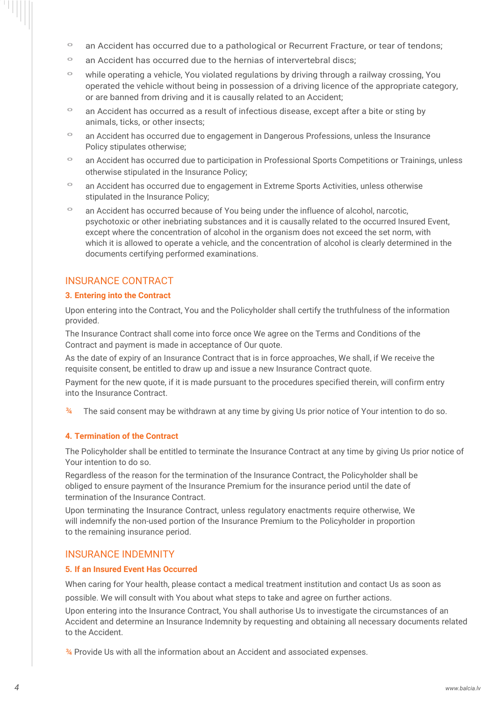- º an Accident has occurred due to a pathological or Recurrent Fracture, or tear of tendons;
- º an Accident has occurred due to the hernias of intervertebral discs;
- º while operating a vehicle, You violated regulations by driving through a railway crossing, You operated the vehicle without being in possession of a driving licence of the appropriate category, or are banned from driving and it is causally related to an Accident;
- º an Accident has occurred as a result of infectious disease, except after a bite or sting by animals, ticks, or other insects;
- º an Accident has occurred due to engagement in Dangerous Professions, unless the Insurance Policy stipulates otherwise;
- º an Accident has occurred due to participation in Professional Sports Competitions or Trainings, unless otherwise stipulated in the Insurance Policy;
- º an Accident has occurred due to engagement in Extreme Sports Activities, unless otherwise stipulated in the Insurance Policy;
- º an Accident has occurred because of You being under the influence of alcohol, narcotic, psychotoxic or other inebriating substances and it is causally related to the occurred Insured Event, except where the concentration of alcohol in the organism does not exceed the set norm, with which it is allowed to operate a vehicle, and the concentration of alcohol is clearly determined in the documents certifying performed examinations.

## INSURANCE CONTRACT

#### **3. Entering into the Contract**

Upon entering into the Contract, You and the Policyholder shall certify the truthfulness of the information provided.

The Insurance Contract shall come into force once We agree on the Terms and Conditions of the Contract and payment is made in acceptance of Our quote.

As the date of expiry of an Insurance Contract that is in force approaches, We shall, if We receive the requisite consent, be entitled to draw up and issue a new Insurance Contract quote.

Payment for the new quote, if it is made pursuant to the procedures specified therein, will confirm entry into the Insurance Contract.

 $\frac{34}{2}$  The said consent may be withdrawn at any time by giving Us prior notice of Your intention to do so.

## **4. Termination of the Contract**

The Policyholder shall be entitled to terminate the Insurance Contract at any time by giving Us prior notice of Your intention to do so.

Regardless of the reason for the termination of the Insurance Contract, the Policyholder shall be obliged to ensure payment of the Insurance Premium for the insurance period until the date of termination of the Insurance Contract.

Upon terminating the Insurance Contract, unless regulatory enactments require otherwise, We will indemnify the non-used portion of the Insurance Premium to the Policyholder in proportion to the remaining insurance period.

## INSURANCE INDEMNITY

#### **5. If an Insured Event Has Occurred**

When caring for Your health, please contact a medical treatment institution and contact Us as soon as possible. We will consult with You about what steps to take and agree on further actions.

Upon entering into the Insurance Contract, You shall authorise Us to investigate the circumstances of an Accident and determine an Insurance Indemnity by requesting and obtaining all necessary documents related to the Accident.

¾ Provide Us with all the information about an Accident and associated expenses.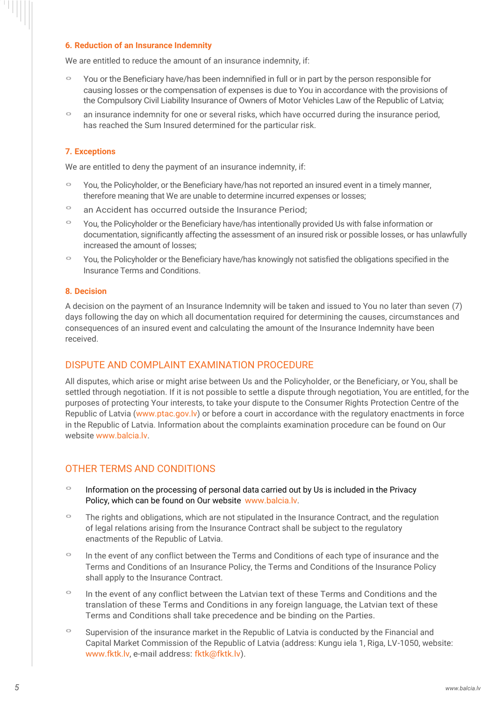#### **6. Reduction of an Insurance Indemnity**

We are entitled to reduce the amount of an insurance indemnity, if:

- º You or the Beneficiary have/has been indemnified in full or in part by the person responsible for causing losses or the compensation of expenses is due to You in accordance with the provisions of the Compulsory Civil Liability Insurance of Owners of Motor Vehicles Law of the Republic of Latvia;
- º an insurance indemnity for one or several risks, which have occurred during the insurance period, has reached the Sum Insured determined for the particular risk.

## **7. Exceptions**

We are entitled to deny the payment of an insurance indemnity, if:

- You, the Policyholder, or the Beneficiary have/has not reported an insured event in a timely manner, therefore meaning that We are unable to determine incurred expenses or losses;
- º an Accident has occurred outside the Insurance Period;
- º You, the Policyholder or the Beneficiary have/has intentionally provided Us with false information or documentation, significantly affecting the assessment of an insured risk or possible losses, or has unlawfully increased the amount of losses;
- º You, the Policyholder or the Beneficiary have/has knowingly not satisfied the obligations specified in the Insurance Terms and Conditions.

#### **8. Decision**

A decision on the payment of an Insurance Indemnity will be taken and issued to You no later than seven (7) days following the day on which all documentation required for determining the causes, circumstances and consequences of an insured event and calculating the amount of the Insurance Indemnity have been received.

## DISPUTE AND COMPLAINT EXAMINATION PROCEDURE

All disputes, which arise or might arise between Us and the Policyholder, or the Beneficiary, or You, shall be settled through negotiation. If it is not possible to settle a dispute through negotiation, You are entitled, for the purposes of protecting Your interests, to take your dispute to the Consumer Rights Protection Centre of the Republic of Latvia (www.ptac.gov.lv) or before a court in accordance with the regulatory enactments in force in the Republic of Latvia. Information about the complaints examination procedure can be found on Our website www.balcia.lv

## OTHER TERMS AND CONDITIONS

- º Information on the processing of personal data carried out by Us is included in the Privacy Policy, which can be found on Our website [www.balcia.lv.](http://www.balcia.lv/)
- º The rights and obligations, which are not stipulated in the Insurance Contract, and the regulation of legal relations arising from the Insurance Contract shall be subject to the regulatory enactments of the Republic of Latvia.
- º In the event of any conflict between the Terms and Conditions of each type of insurance and the Terms and Conditions of an Insurance Policy, the Terms and Conditions of the Insurance Policy shall apply to the Insurance Contract.
- º In the event of any conflict between the Latvian text of these Terms and Conditions and the translation of these Terms and Conditions in any foreign language, the Latvian text of these Terms and Conditions shall take precedence and be binding on the Parties.
- <sup>o</sup> Supervision of the insurance market in the Republic of Latvia is conducted by the Financial and Capital Market Commission of the Republic of Latvia (address: Kungu iela 1, Riga, LV-1050, website: [www.fktk.lv, e](http://www.fktk.lv/)-mail address: fktk@fktk.lv).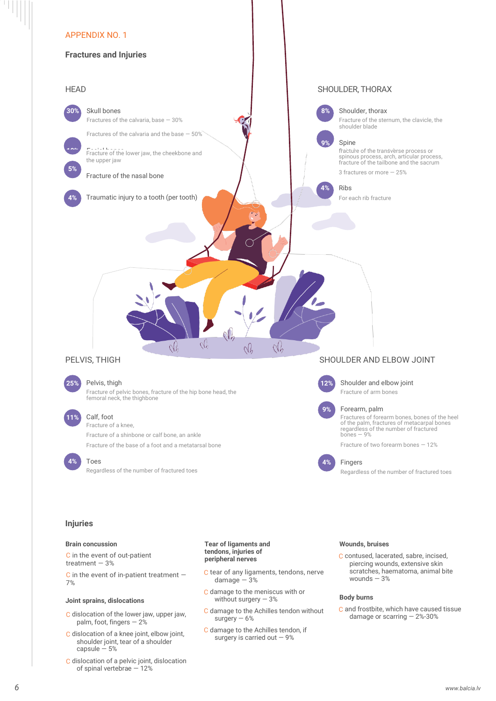

#### **Body burns**

C and frostbite, which have caused tissue damage or scarring — 2%-30%

#### C dislocation of the lower jaw, upper jaw, palm, foot, fingers — 2%

**Joint sprains, dislocations**

- C dislocation of a knee joint, elbow joint, shoulder joint, tear of a shoulder capsule  $-5%$
- C dislocation of a pelvic joint, dislocation of spinal vertebrae — 12%

Ш

- C damage to the meniscus with or without surgery  $-3%$
- C damage to the Achilles tendon without surgery  $-6%$
- C damage to the Achilles tendon, if surgery is carried out  $-9%$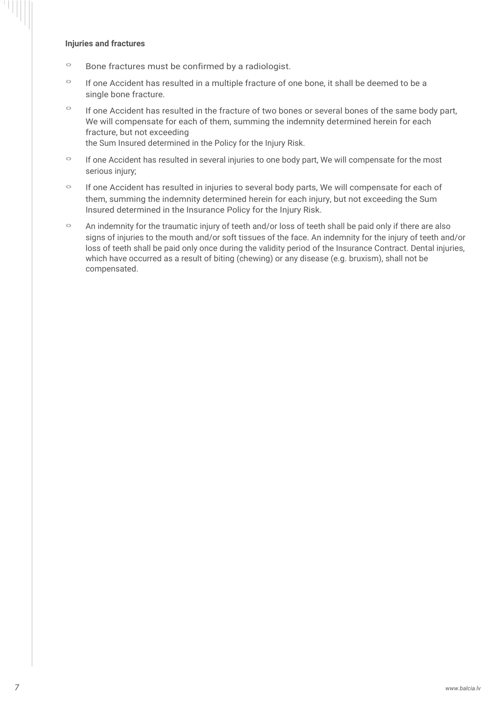#### **Injuries and fractures**

H

- º Bone fractures must be confirmed by a radiologist.
- º If one Accident has resulted in a multiple fracture of one bone, it shall be deemed to be a single bone fracture.
- <sup>o</sup> If one Accident has resulted in the fracture of two bones or several bones of the same body part, We will compensate for each of them, summing the indemnity determined herein for each fracture, but not exceeding the Sum Insured determined in the Policy for the Injury Risk.
- <sup>o</sup> If one Accident has resulted in several injuries to one body part, We will compensate for the most serious injury;
- º If one Accident has resulted in injuries to several body parts, We will compensate for each of them, summing the indemnity determined herein for each injury, but not exceeding the Sum Insured determined in the Insurance Policy for the Injury Risk.
- º An indemnity for the traumatic injury of teeth and/or loss of teeth shall be paid only if there are also signs of injuries to the mouth and/or soft tissues of the face. An indemnity for the injury of teeth and/or loss of teeth shall be paid only once during the validity period of the Insurance Contract. Dental injuries, which have occurred as a result of biting (chewing) or any disease (e.g. bruxism), shall not be compensated.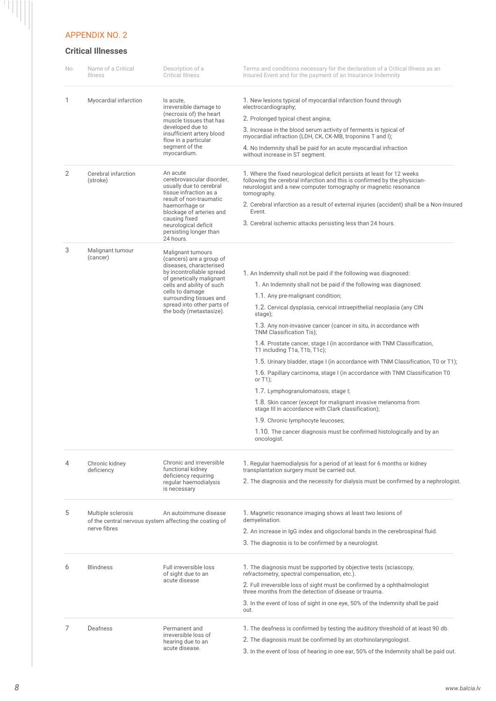#### APPENDIX NO. 2

 $\frac{1}{\sqrt{2}}$ 

# **Critical Illnesses**

| No. | Name of a Critical<br>Illness                                                                | Description of a<br><b>Critical Illness</b>                                                                                                                                                                                                                          | Terms and conditions necessary for the declaration of a Critical Illness as an<br>Insured Event and for the payment of an Insurance Indemnity                                                                                                                                                                                                                                                                                                                                                                                                                                                                                                                                                                                                                                                                                                                                                                                                       |
|-----|----------------------------------------------------------------------------------------------|----------------------------------------------------------------------------------------------------------------------------------------------------------------------------------------------------------------------------------------------------------------------|-----------------------------------------------------------------------------------------------------------------------------------------------------------------------------------------------------------------------------------------------------------------------------------------------------------------------------------------------------------------------------------------------------------------------------------------------------------------------------------------------------------------------------------------------------------------------------------------------------------------------------------------------------------------------------------------------------------------------------------------------------------------------------------------------------------------------------------------------------------------------------------------------------------------------------------------------------|
| 1   | Myocardial infarction                                                                        | Is acute,<br>irreversible damage to<br>(necrosis of) the heart<br>muscle tissues that has<br>developed due to<br>insufficient artery blood<br>flow in a particular<br>segment of the<br>myocardium.                                                                  | 1. New lesions typical of myocardial infarction found through<br>electrocardiography;<br>2. Prolonged typical chest angina;<br>3. Increase in the blood serum activity of ferments is typical of<br>myocardial infraction (LDH, CK, CK-MB, troponins T and I);<br>4. No Indemnity shall be paid for an acute myocardial infraction<br>without increase in ST segment.                                                                                                                                                                                                                                                                                                                                                                                                                                                                                                                                                                               |
| 2   | Cerebral infarction<br>(stroke)                                                              | An acute<br>cerebrovascular disorder,<br>usually due to cerebral<br>tissue infraction as a<br>result of non-traumatic<br>haemorrhage or<br>blockage of arteries and<br>causing fixed<br>neurological deficit<br>persisting longer than<br>24 hours.                  | 1. Where the fixed neurological deficit persists at least for 12 weeks<br>following the cerebral infarction and this is confirmed by the physician-<br>neurologist and a new computer tomography or magnetic resonance<br>tomography.<br>2. Cerebral infarction as a result of external injuries (accident) shall be a Non-Insured<br>Event.<br>3. Cerebral ischemic attacks persisting less than 24 hours.                                                                                                                                                                                                                                                                                                                                                                                                                                                                                                                                         |
| 3   | Malignant tumour<br>(cancer)                                                                 | Malignant tumours<br>(cancers) are a group of<br>diseases, characterised<br>by incontrollable spread<br>of genetically malignant<br>cells and ability of such<br>cells to damage<br>surrounding tissues and<br>spread into other parts of<br>the body (metastasize). | 1. An Indemnity shall not be paid if the following was diagnosed:<br>1. An Indemnity shall not be paid if the following was diagnosed:<br>1.1. Any pre-malignant condition;<br>1.2. Cervical dysplasia, cervical intraepithelial neoplasia (any CIN<br>stage);<br>1.3. Any non-invasive cancer (cancer in situ, in accordance with<br>TNM Classification Tis);<br>1.4. Prostate cancer, stage I (in accordance with TNM Classification,<br>T1 including T1a, T1b, T1c);<br>1.5. Urinary bladder, stage I (in accordance with TNM Classification, T0 or T1);<br>1.6. Papillary carcinoma, stage I (in accordance with TNM Classification T0<br>or $T1$ ;<br>1.7. Lymphogranulomatosis, stage I;<br>1.8. Skin cancer (except for malignant invasive melanoma from<br>stage III in accordance with Clark classification);<br>1.9. Chronic lymphocyte leucoses;<br>1.10. The cancer diagnosis must be confirmed histologically and by an<br>oncologist. |
| 4   | Chronic kidney<br>deficiency                                                                 | Chronic and irreversible<br>functional kidney<br>deficiency requiring<br>regular haemodialysis<br>is necessary                                                                                                                                                       | 1. Regular haemodialysis for a period of at least for 6 months or kidney<br>transplantation surgery must be carried out.<br>2. The diagnosis and the necessity for dialysis must be confirmed by a nephrologist.                                                                                                                                                                                                                                                                                                                                                                                                                                                                                                                                                                                                                                                                                                                                    |
| 5   | Multiple sclerosis<br>of the central nervous system affecting the coating of<br>nerve fibres | An autoimmune disease                                                                                                                                                                                                                                                | 1. Magnetic resonance imaging shows at least two lesions of<br>demyelination.<br>2. An increase in IgG index and oligoclonal bands in the cerebrospinal fluid.<br>3. The diagnosis is to be confirmed by a neurologist.                                                                                                                                                                                                                                                                                                                                                                                                                                                                                                                                                                                                                                                                                                                             |
| 6   | <b>Blindness</b>                                                                             | Full irreversible loss<br>of sight due to an<br>acute disease                                                                                                                                                                                                        | 1. The diagnosis must be supported by objective tests (sciascopy,<br>refractometry, spectral compensation, etc.).<br>2. Full irreversible loss of sight must be confirmed by a ophthalmologist<br>three months from the detection of disease or trauma.<br>3. In the event of loss of sight in one eye, 50% of the Indemnity shall be paid<br>out.                                                                                                                                                                                                                                                                                                                                                                                                                                                                                                                                                                                                  |
| 7   | Deafness                                                                                     | Permanent and<br>irreversible loss of<br>hearing due to an<br>acute disease.                                                                                                                                                                                         | 1. The deafness is confirmed by testing the auditory threshold of at least 90 db.<br>2. The diagnosis must be confirmed by an otorhinolaryngologist.<br>3. In the event of loss of hearing in one ear, 50% of the Indemnity shall be paid out.                                                                                                                                                                                                                                                                                                                                                                                                                                                                                                                                                                                                                                                                                                      |